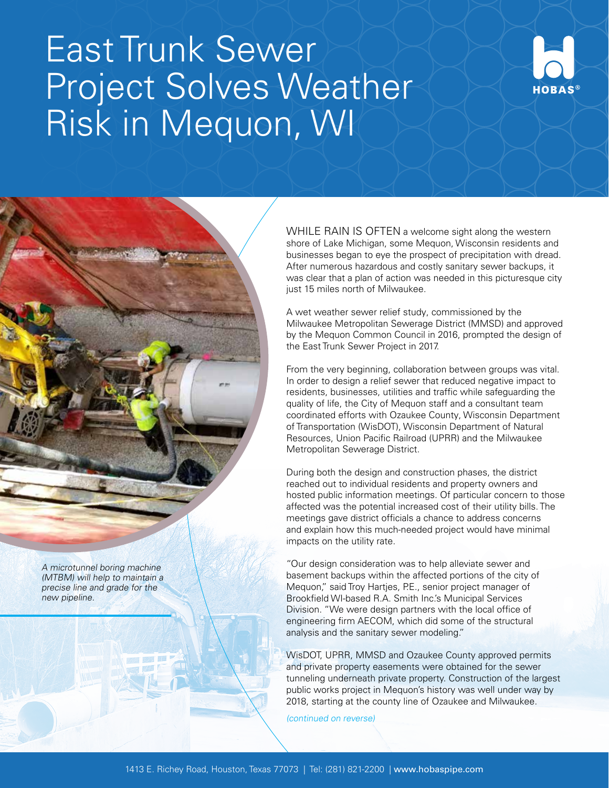## East Trunk Sewer Project Solves Weather Risk in Mequon, WI



WHILE RAIN IS OFTEN a welcome sight along the western shore of Lake Michigan, some Mequon, Wisconsin residents and businesses began to eye the prospect of precipitation with dread. After numerous hazardous and costly sanitary sewer backups, it was clear that a plan of action was needed in this picturesque city just 15 miles north of Milwaukee.

A wet weather sewer relief study, commissioned by the Milwaukee Metropolitan Sewerage District (MMSD) and approved by the Mequon Common Council in 2016, prompted the design of the East Trunk Sewer Project in 2017.

From the very beginning, collaboration between groups was vital. In order to design a relief sewer that reduced negative impact to residents, businesses, utilities and traffic while safeguarding the quality of life, the City of Mequon staff and a consultant team coordinated efforts with Ozaukee County, Wisconsin Department of Transportation (WisDOT), Wisconsin Department of Natural Resources, Union Pacific Railroad (UPRR) and the Milwaukee Metropolitan Sewerage District.

During both the design and construction phases, the district reached out to individual residents and property owners and hosted public information meetings. Of particular concern to those affected was the potential increased cost of their utility bills. The meetings gave district officials a chance to address concerns and explain how this much-needed project would have minimal impacts on the utility rate.

"Our design consideration was to help alleviate sewer and basement backups within the affected portions of the city of Mequon," said Troy Hartjes, P.E., senior project manager of Brookfield WI-based R.A. Smith Inc.'s Municipal Services Division. "We were design partners with the local office of engineering firm AECOM, which did some of the structural analysis and the sanitary sewer modeling."

WisDOT, UPRR, MMSD and Ozaukee County approved permits and private property easements were obtained for the sewer tunneling underneath private property. Construction of the largest public works project in Mequon's history was well under way by 2018, starting at the county line of Ozaukee and Milwaukee.

(continued on reverse)

A microtunnel boring machine (MTBM) will help to maintain a precise line and grade for the new pipeline.